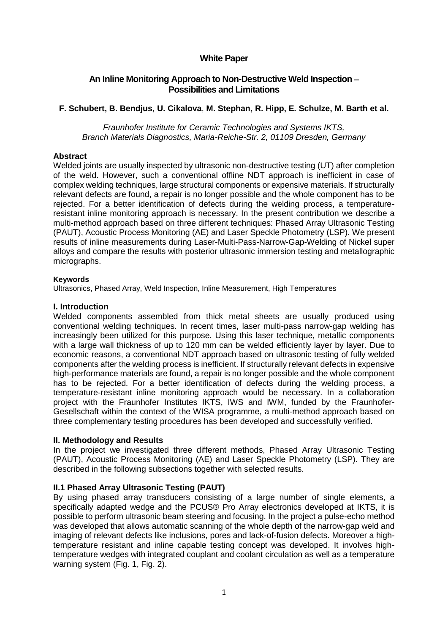# **White Paper**

# **An Inline Monitoring Approach to Non-Destructive Weld Inspection Possibilities and Limitations**

# **F. Schubert, B. Bendjus**, **U. Cikalova**, **M. Stephan, R. Hipp, E. Schulze, M. Barth et al.**

*Fraunhofer Institute for Ceramic Technologies and Systems IKTS, Branch Materials Diagnostics, Maria-Reiche-Str. 2, 01109 Dresden, Germany*

#### **Abstract**

Welded joints are usually inspected by ultrasonic non-destructive testing (UT) after completion of the weld. However, such a conventional offline NDT approach is inefficient in case of complex welding techniques, large structural components or expensive materials. If structurally relevant defects are found, a repair is no longer possible and the whole component has to be rejected. For a better identification of defects during the welding process, a temperatureresistant inline monitoring approach is necessary. In the present contribution we describe a multi-method approach based on three different techniques: Phased Array Ultrasonic Testing (PAUT), Acoustic Process Monitoring (AE) and Laser Speckle Photometry (LSP). We present results of inline measurements during Laser-Multi-Pass-Narrow-Gap-Welding of Nickel super alloys and compare the results with posterior ultrasonic immersion testing and metallographic micrographs.

#### **Keywords**

Ultrasonics, Phased Array, Weld Inspection, Inline Measurement, High Temperatures

#### **I. Introduction**

Welded components assembled from thick metal sheets are usually produced using conventional welding techniques. In recent times, laser multi-pass narrow-gap welding has increasingly been utilized for this purpose. Using this laser technique, metallic components with a large wall thickness of up to 120 mm can be welded efficiently layer by layer. Due to economic reasons, a conventional NDT approach based on ultrasonic testing of fully welded components after the welding process is inefficient. If structurally relevant defects in expensive high-performance materials are found, a repair is no longer possible and the whole component has to be rejected. For a better identification of defects during the welding process, a temperature-resistant inline monitoring approach would be necessary. In a collaboration project with the Fraunhofer Institutes IKTS, IWS and IWM, funded by the Fraunhofer-Gesellschaft within the context of the WISA programme, a multi-method approach based on three complementary testing procedures has been developed and successfully verified.

## **II. Methodology and Results**

In the project we investigated three different methods, Phased Array Ultrasonic Testing (PAUT), Acoustic Process Monitoring (AE) and Laser Speckle Photometry (LSP). They are described in the following subsections together with selected results.

## **II.1 Phased Array Ultrasonic Testing (PAUT)**

By using phased array transducers consisting of a large number of single elements, a specifically adapted wedge and the PCUS® Pro Array electronics developed at IKTS, it is possible to perform ultrasonic beam steering and focusing. In the project a pulse-echo method was developed that allows automatic scanning of the whole depth of the narrow-gap weld and imaging of relevant defects like inclusions, pores and lack-of-fusion defects. Moreover a hightemperature resistant and inline capable testing concept was developed. It involves hightemperature wedges with integrated couplant and coolant circulation as well as a temperature warning system (Fig. 1, Fig. 2).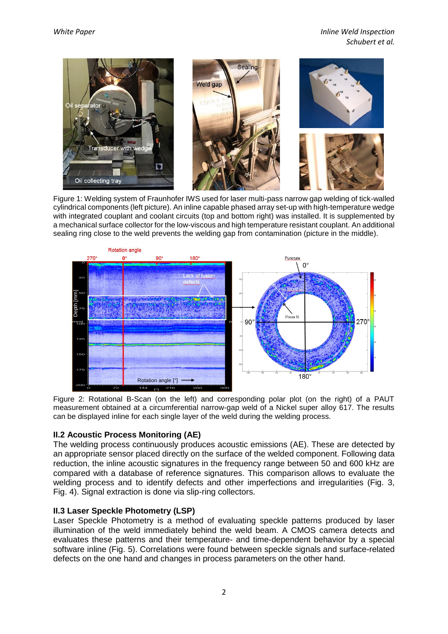

Figure 1: Welding system of Fraunhofer IWS used for laser multi-pass narrow gap welding of tick-walled cylindrical components (left picture). An inline capable phased array set-up with high-temperature wedge with integrated couplant and coolant circuits (top and bottom right) was installed. It is supplemented by a mechanical surface collector for the low-viscous and high temperature resistant couplant. An additional sealing ring close to the weld prevents the welding gap from contamination (picture in the middle).



Figure 2: Rotational B-Scan (on the left) and corresponding polar plot (on the right) of a PAUT measurement obtained at a circumferential narrow-gap weld of a Nickel super alloy 617. The results can be displayed inline for each single layer of the weld during the welding process.

## **II.2 Acoustic Process Monitoring (AE)**

The welding process continuously produces acoustic emissions (AE). These are detected by an appropriate sensor placed directly on the surface of the welded component. Following data reduction, the inline acoustic signatures in the frequency range between 50 and 600 kHz are compared with a database of reference signatures. This comparison allows to evaluate the welding process and to identify defects and other imperfections and irregularities (Fig. 3, Fig. 4). Signal extraction is done via slip-ring collectors.

## **II.3 Laser Speckle Photometry (LSP)**

Laser Speckle Photometry is a method of evaluating speckle patterns produced by laser illumination of the weld immediately behind the weld beam. A CMOS camera detects and evaluates these patterns and their temperature- and time-dependent behavior by a special software inline (Fig. 5). Correlations were found between speckle signals and surface-related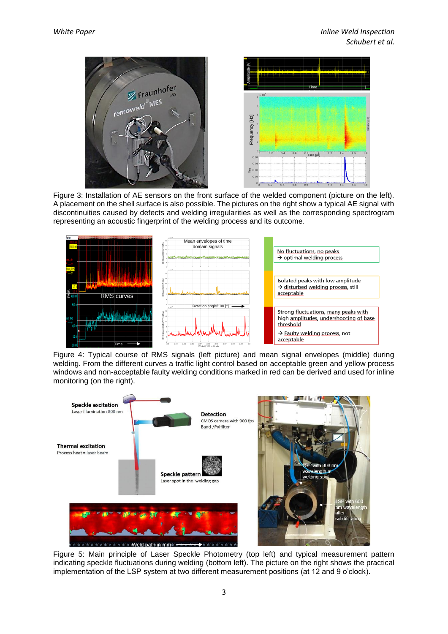

Figure 3: Installation of AE sensors on the front surface of the welded component (picture on the left). A placement on the shell surface is also possible. The pictures on the right show a typical AE signal with discontinuities caused by defects and welding irregularities as well as the corresponding spectrogram representing an acoustic fingerprint of the welding process and its outcome.



Figure 4: Typical course of RMS signals (left picture) and mean signal envelopes (middle) during welding. From the different curves a traffic light control based on acceptable green and yellow process windows and non-acceptable faulty welding conditions marked in red can be derived and used for inline monitoring (on the right).



Figure 5: Main principle of Laser Speckle Photometry (top left) and typical measurement pattern indicating speckle fluctuations during welding (bottom left). The picture on the right shows the practical implementation of the LSP system at two different measurement positions (at 12 and 9 o'clock).